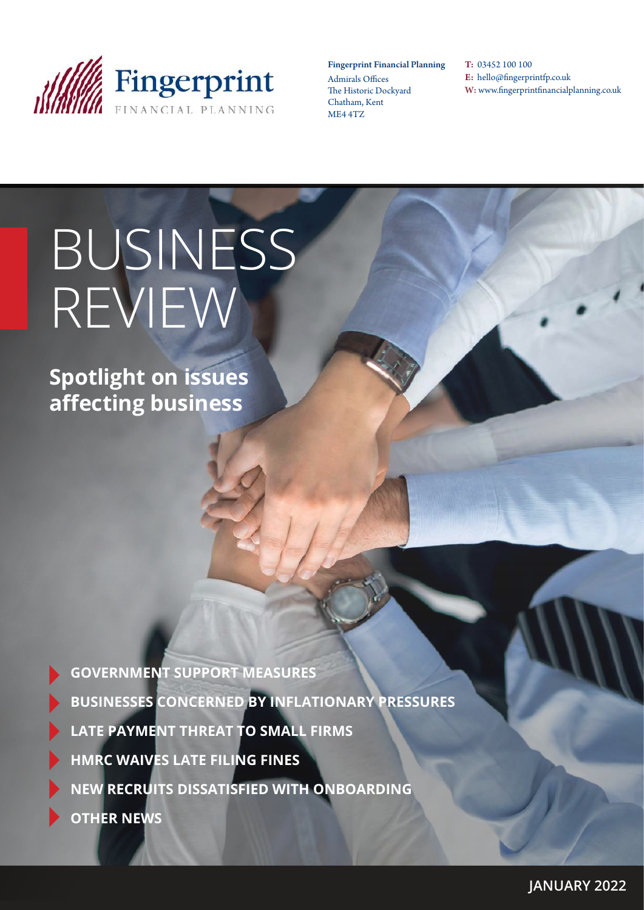

#### Fingerprint Financial Planning

Admirals Offices The Historic Dockyard Chatham, Kent ME4 4TZ

T: 03452 100 100 E: hello@fingerprintfp.co.uk W: www.fingerprintfinancialplanning.co.uk

# BUSINESS REVIEW

**Spotlight on issues affecting business**

| <b>GOVERNMENT SUPPORT MEASURES</b>                    |
|-------------------------------------------------------|
| <b>BUSINESSES CONCERNED BY INFLATIONARY PRESSURES</b> |
| LATE PAYMENT THREAT TO SMALL FIRMS                    |
| HMRC WAIVES LATE FILING FINES                         |
| NEW RECRUITS DISSATISFIED WITH ONBOARDING             |
| <b>OTHER NEWS</b>                                     |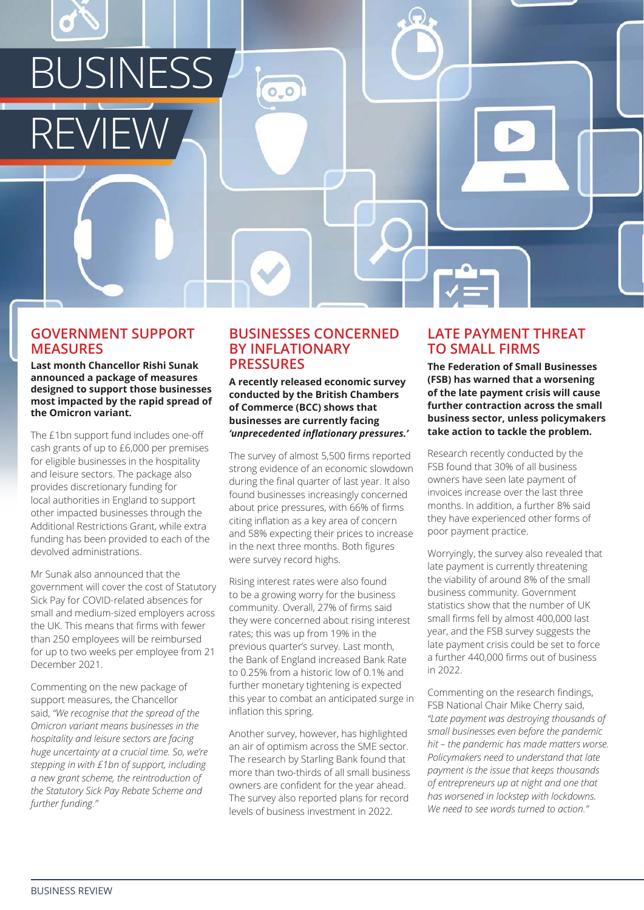

#### **GOVERNMENT SUPPORT MEASURES**

**Last month Chancellor Rishi Sunak announced a package of measures designed to support those businesses most impacted by the rapid spread of the Omicron variant.**

The £1bn support fund includes one-off cash grants of up to £6,000 per premises for eligible businesses in the hospitality and leisure sectors. The package also provides discretionary funding for local authorities in England to support other impacted businesses through the Additional Restrictions Grant, while extra funding has been provided to each of the devolved administrations.

Mr Sunak also announced that the government will cover the cost of Statutory Sick Pay for COVID-related absences for small and medium-sized employers across the UK. This means that firms with fewer than 250 employees will be reimbursed for up to two weeks per employee from 21 December 2021.

Commenting on the new package of support measures, the Chancellor said, *"We recognise that the spread of the Omicron variant means businesses in the hospitality and leisure sectors are facing huge uncertainty at a crucial time. So, we're stepping in with £1bn of support, including a new grant scheme, the reintroduction of the Statutory Sick Pay Rebate Scheme and further funding."* 

#### **BUSINESSES CONCERNED BY INFLATIONARY PRESSURES**

**A recently released economic survey conducted by the British Chambers of Commerce (BCC) shows that businesses are currently facing**  *'unprecedented inflationary pressures.'*

The survey of almost 5,500 firms reported strong evidence of an economic slowdown during the final quarter of last year. It also found businesses increasingly concerned about price pressures, with 66% of firms citing inflation as a key area of concern and 58% expecting their prices to increase in the next three months. Both figures were survey record highs.

Rising interest rates were also found to be a growing worry for the business community. Overall, 27% of firms said they were concerned about rising interest rates; this was up from 19% in the previous quarter's survey. Last month, the Bank of England increased Bank Rate to 0.25% from a historic low of 0.1% and further monetary tightening is expected this year to combat an anticipated surge in inflation this spring.

Another survey, however, has highlighted an air of optimism across the SME sector. The research by Starling Bank found that more than two-thirds of all small business owners are confident for the year ahead. The survey also reported plans for record levels of business investment in 2022.

# **LATE PAYMENT THREAT TO SMALL FIRMS**

**The Federation of Small Businesses (FSB) has warned that a worsening of the late payment crisis will cause further contraction across the small business sector, unless policymakers take action to tackle the problem.**

Research recently conducted by the FSB found that 30% of all business owners have seen late payment of invoices increase over the last three months. In addition, a further 8% said they have experienced other forms of poor payment practice.

Worryingly, the survey also revealed that late payment is currently threatening the viability of around 8% of the small business community. Government statistics show that the number of UK small firms fell by almost 400,000 last year, and the FSB survey suggests the late payment crisis could be set to force a further 440,000 firms out of business in 2022.

Commenting on the research findings, FSB National Chair Mike Cherry said, *"Late payment was destroying thousands of small businesses even before the pandemic hit – the pandemic has made matters worse. Policymakers need to understand that late payment is the issue that keeps thousands of entrepreneurs up at night and one that has worsened in lockstep with lockdowns. We need to see words turned to action."*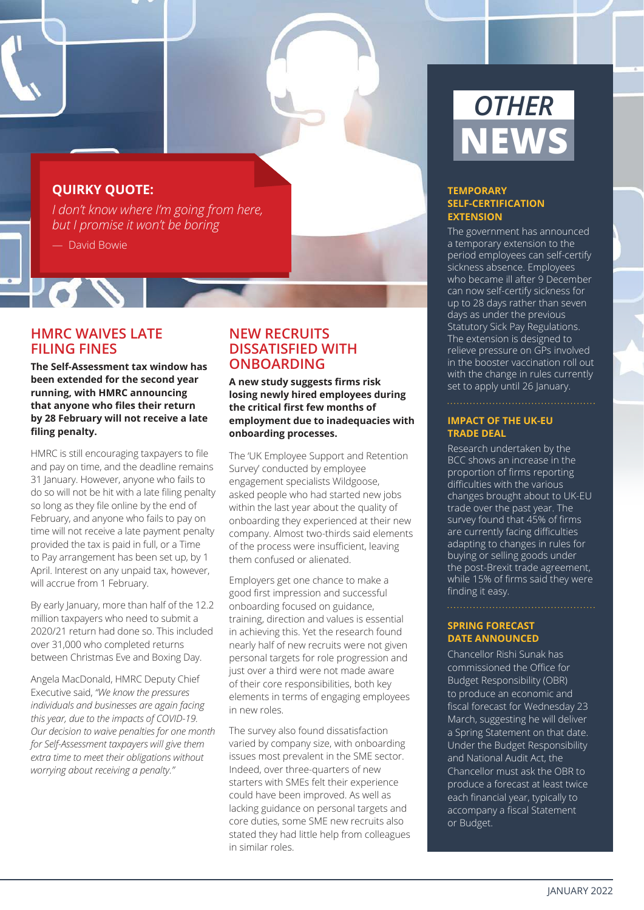## **QUIRKY QUOTE:**

*I don't know where I'm going from here, but I promise it won't be boring*

— David Bowie

 $P$  of  $\mathbb{Z}$ 

### **HMRC WAIVES LATE FILING FINES**

**The Self-Assessment tax window has been extended for the second year running, with HMRC announcing that anyone who files their return by 28 February will not receive a late filing penalty.**

HMRC is still encouraging taxpayers to file and pay on time, and the deadline remains 31 January. However, anyone who fails to do so will not be hit with a late filing penalty so long as they file online by the end of February, and anyone who fails to pay on time will not receive a late payment penalty provided the tax is paid in full, or a Time to Pay arrangement has been set up, by 1 April. Interest on any unpaid tax, however, will accrue from 1 February.

By early January, more than half of the 12.2 million taxpayers who need to submit a 2020/21 return had done so. This included over 31,000 who completed returns between Christmas Eve and Boxing Day.

Angela MacDonald, HMRC Deputy Chief Executive said, *"We know the pressures individuals and businesses are again facing this year, due to the impacts of COVID-19. Our decision to waive penalties for one month for Self-Assessment taxpayers will give them extra time to meet their obligations without worrying about receiving a penalty."* 

# **NEW RECRUITS DISSATISFIED WITH ONBOARDING**

**A new study suggests firms risk losing newly hired employees during the critical first few months of employment due to inadequacies with onboarding processes.**

The 'UK Employee Support and Retention Survey' conducted by employee engagement specialists Wildgoose, asked people who had started new jobs within the last year about the quality of onboarding they experienced at their new company. Almost two-thirds said elements of the process were insufficient, leaving them confused or alienated.

Employers get one chance to make a good first impression and successful onboarding focused on guidance, training, direction and values is essential in achieving this. Yet the research found nearly half of new recruits were not given personal targets for role progression and just over a third were not made aware of their core responsibilities, both key elements in terms of engaging employees in new roles.

The survey also found dissatisfaction varied by company size, with onboarding issues most prevalent in the SME sector. Indeed, over three-quarters of new starters with SMEs felt their experience could have been improved. As well as lacking guidance on personal targets and core duties, some SME new recruits also stated they had little help from colleagues in similar roles.

# *OTHER* **NEWS**

#### **TEMPORARY SELF-CERTIFICATION EXTENSION**

The government has announced a temporary extension to the period employees can self-certify sickness absence. Employees who became ill after 9 December can now self-certify sickness for up to 28 days rather than seven days as under the previous Statutory Sick Pay Regulations. The extension is designed to relieve pressure on GPs involved in the booster vaccination roll out with the change in rules currently set to apply until 26 January.

#### **IMPACT OF THE UK-EU TRADE DEAL**

Research undertaken by the BCC shows an increase in the proportion of firms reporting difficulties with the various changes brought about to UK-EU trade over the past year. The survey found that 45% of firms are currently facing difficulties adapting to changes in rules for buying or selling goods under the post-Brexit trade agreement, while 15% of firms said they were finding it easy.

#### **SPRING FORECAST DATE ANNOUNCED**

Chancellor Rishi Sunak has commissioned the Office for Budget Responsibility (OBR) to produce an economic and fiscal forecast for Wednesday 23 March, suggesting he will deliver a Spring Statement on that date. Under the Budget Responsibility and National Audit Act, the Chancellor must ask the OBR to produce a forecast at least twice each financial year, typically to accompany a fiscal Statement or Budget.